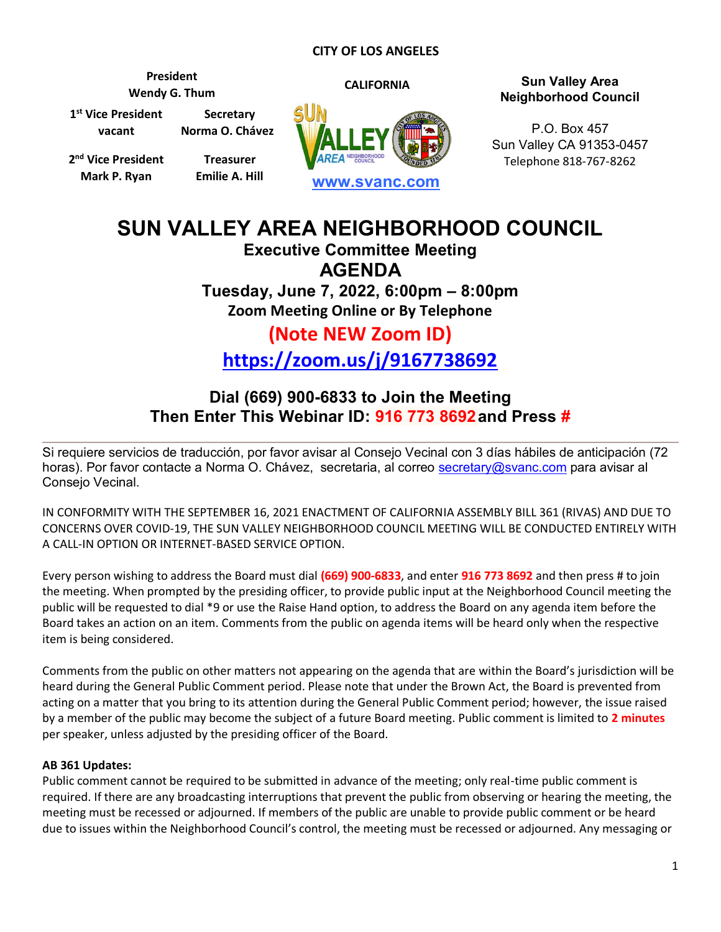### **CITY OF LOS ANGELES**

**1 st Vice President vacant Secretary Norma O. Chávez**

**President**

**2 nd Vice President Mark P. Ryan**

**Treasurer Emilie A. Hill**



# **Wendy G. Thum CALIFORNIA Sun Valley Area Neighborhood Council**

P.O. Box 457 Sun Valley CA 91353-0457 Telephone 818-767-8262

# **SUN VALLEY AREA NEIGHBORHOOD COUNCIL**

**Executive Committee Meeting AGENDA Tuesday, June 7, 2022, 6:00pm – 8:00pm**

**Zoom Meeting Online or By Telephone**

## **(Note NEW Zoom ID) <https://zoom.us/j/9167738692>**

### **Dial (669) 900-6833 to Join the Meeting Then Enter This Webinar ID: 916 773 8692and Press #**

Si requiere servicios de traducción, por favor avisar al Consejo Vecinal con 3 días hábiles de anticipación (72 horas). Por favor contacte a Norma O. Chávez, secretaria, al correo [secretary@svanc.com](mailto:secretary@svanc.com) para avisar al Consejo Vecinal.

IN CONFORMITY WITH THE SEPTEMBER 16, 2021 ENACTMENT OF CALIFORNIA ASSEMBLY BILL 361 (RIVAS) AND DUE TO CONCERNS OVER COVID-19, THE SUN VALLEY NEIGHBORHOOD COUNCIL MEETING WILL BE CONDUCTED ENTIRELY WITH A CALL-IN OPTION OR INTERNET-BASED SERVICE OPTION.

Every person wishing to address the Board must dial **(669) 900-6833**, and enter **916 773 8692** and then press # to join the meeting. When prompted by the presiding officer, to provide public input at the Neighborhood Council meeting the public will be requested to dial \*9 or use the Raise Hand option, to address the Board on any agenda item before the Board takes an action on an item. Comments from the public on agenda items will be heard only when the respective item is being considered.

Comments from the public on other matters not appearing on the agenda that are within the Board's jurisdiction will be heard during the General Public Comment period. Please note that under the Brown Act, the Board is prevented from acting on a matter that you bring to its attention during the General Public Comment period; however, the issue raised by a member of the public may become the subject of a future Board meeting. Public comment is limited to **2 minutes** per speaker, unless adjusted by the presiding officer of the Board.

### **AB 361 Updates:**

Public comment cannot be required to be submitted in advance of the meeting; only real-time public comment is required. If there are any broadcasting interruptions that prevent the public from observing or hearing the meeting, the meeting must be recessed or adjourned. If members of the public are unable to provide public comment or be heard due to issues within the Neighborhood Council's control, the meeting must be recessed or adjourned. Any messaging or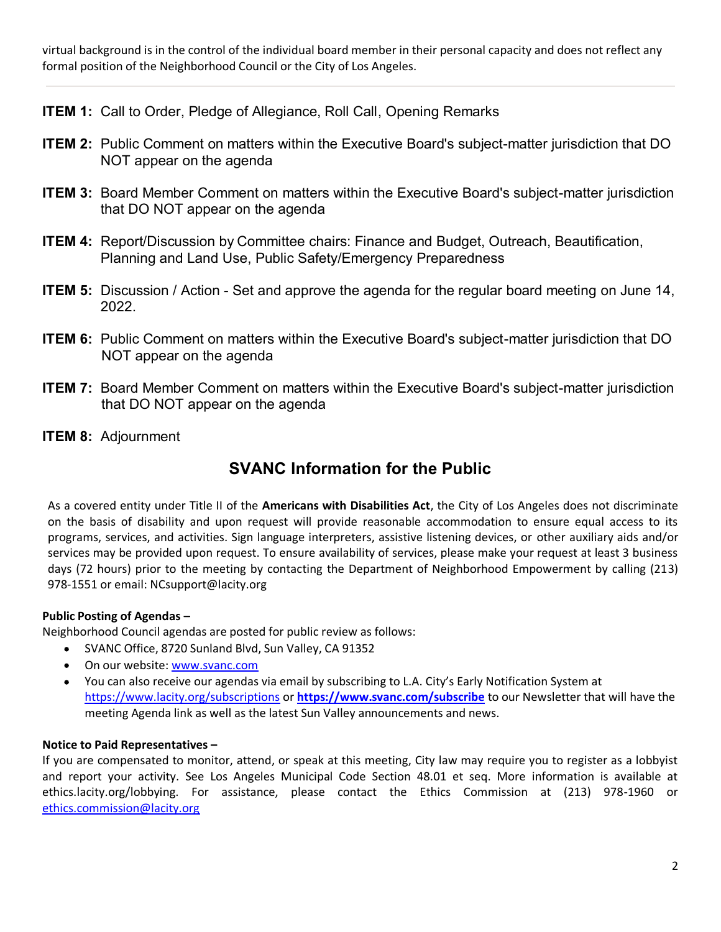virtual background is in the control of the individual board member in their personal capacity and does not reflect any formal position of the Neighborhood Council or the City of Los Angeles.

**ITEM 1:** Call to Order, Pledge of Allegiance, Roll Call, Opening Remarks

- **ITEM 2:** Public Comment on matters within the Executive Board's subject-matter jurisdiction that DO NOT appear on the agenda
- **ITEM 3:** Board Member Comment on matters within the Executive Board's subject-matter jurisdiction that DO NOT appear on the agenda
- **ITEM 4:** Report/Discussion by Committee chairs: Finance and Budget, Outreach, Beautification, Planning and Land Use, Public Safety/Emergency Preparedness
- **ITEM 5:** Discussion / Action Set and approve the agenda for the regular board meeting on June 14, 2022.
- **ITEM 6:** Public Comment on matters within the Executive Board's subject-matter jurisdiction that DO NOT appear on the agenda
- **ITEM 7:** Board Member Comment on matters within the Executive Board's subject-matter jurisdiction that DO NOT appear on the agenda
- **ITEM 8:** Adjournment

### **SVANC Information for the Public**

As a covered entity under Title II of the **Americans with Disabilities Act**, the City of Los Angeles does not discriminate on the basis of disability and upon request will provide reasonable accommodation to ensure equal access to its programs, services, and activities. Sign language interpreters, assistive listening devices, or other auxiliary aids and/or services may be provided upon request. To ensure availability of services, please make your request at least 3 business days (72 hours) prior to the meeting by contacting the Department of Neighborhood Empowerment by calling (213) 978-1551 or email: NCsupport@lacity.org

### **Public Posting of Agendas –**

Neighborhood Council agendas are posted for public review as follows:

- SVANC Office, 8720 Sunland Blvd, Sun Valley, CA 91352  $\bullet$
- On our website: [www.svanc.com](http://www.svanc.com/)
- You can also receive our agendas via email by subscribing to L.A. City's Early Notification System at  $\bullet$ <https://www.lacity.org/subscriptions> or **<https://www.svanc.com/subscribe>** to our Newsletter that will have the meeting Agenda link as well as the latest Sun Valley announcements and news.

### **Notice to Paid Representatives –**

If you are compensated to monitor, attend, or speak at this meeting, City law may require you to register as a lobbyist and report your activity. See Los Angeles Municipal Code Section 48.01 et seq. More information is available at ethics.lacity.org/lobbying. For assistance, please contact the Ethics Commission at (213) 978-1960 or [ethics.commission@lacity.org](mailto:ethics.commission@lacity.org)